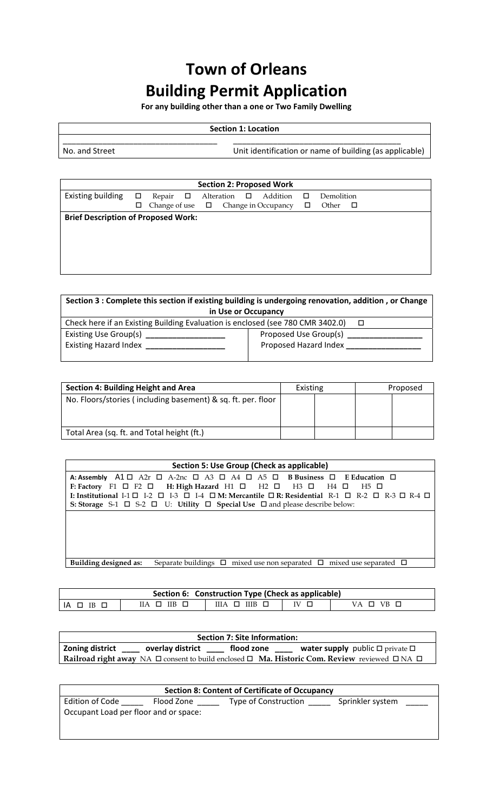## **Town of Orleans Building Permit Application**

**For any building other than a one or Two Family Dwelling**

## **Section 1: Location**

\_\_\_\_\_\_\_\_\_\_\_\_\_\_\_\_\_\_\_\_\_\_\_\_\_\_\_\_\_\_\_\_\_\_\_ \_\_\_\_\_\_\_\_\_\_\_\_\_\_\_\_\_\_\_\_\_\_\_\_\_\_\_\_\_\_\_\_\_\_\_\_\_\_

No. and Street **The Contract of the Contract of Street** Unit identification or name of building (as applicable)

| <b>Section 2: Proposed Work</b> |                                            |               |  |        |            |        |                     |        |            |     |
|---------------------------------|--------------------------------------------|---------------|--|--------|------------|--------|---------------------|--------|------------|-----|
| Existing building               | $\Box$                                     | Repair $\Box$ |  |        | Alteration | $\Box$ | Addition            | $\Box$ | Demolition |     |
|                                 | ◻                                          | Change of use |  | $\Box$ |            |        | Change in Occupancy | □      | Other      | - 0 |
|                                 | <b>Brief Description of Proposed Work:</b> |               |  |        |            |        |                     |        |            |     |
|                                 |                                            |               |  |        |            |        |                     |        |            |     |
|                                 |                                            |               |  |        |            |        |                     |        |            |     |
|                                 |                                            |               |  |        |            |        |                     |        |            |     |
|                                 |                                            |               |  |        |            |        |                     |        |            |     |
|                                 |                                            |               |  |        |            |        |                     |        |            |     |

| Section 3 : Complete this section if existing building is undergoing renovation, addition, or Change |  |  |  |  |  |  |  |
|------------------------------------------------------------------------------------------------------|--|--|--|--|--|--|--|
| in Use or Occupancy                                                                                  |  |  |  |  |  |  |  |
| Check here if an Existing Building Evaluation is enclosed (see 780 CMR 3402.0)                       |  |  |  |  |  |  |  |
| Proposed Use Group(s)                                                                                |  |  |  |  |  |  |  |
| Proposed Hazard Index                                                                                |  |  |  |  |  |  |  |
|                                                                                                      |  |  |  |  |  |  |  |

| <b>Section 4: Building Height and Area</b>                   | Existing |  | Proposed |
|--------------------------------------------------------------|----------|--|----------|
| No. Floors/stories (including basement) & sq. ft. per. floor |          |  |          |
| Total Area (sq. ft. and Total height (ft.)                   |          |  |          |

| Section 5: Use Group (Check as applicable)                                                                                                   |  |  |  |  |  |  |  |
|----------------------------------------------------------------------------------------------------------------------------------------------|--|--|--|--|--|--|--|
| A: Assembly A1 $\Box$ A2r $\Box$ A-2nc $\Box$ A3 $\Box$ A4 $\Box$ A5 $\Box$ B Business $\Box$ E Education $\Box$                             |  |  |  |  |  |  |  |
| F: Factory F1 $\Box$ F2 $\Box$ H: High Hazard H1 $\Box$ H2 $\Box$ H3 $\Box$ H4 $\Box$ H5 $\Box$                                              |  |  |  |  |  |  |  |
| I: Institutional I-1 $\Box$ I-2 $\Box$ I-3 $\Box$ I-4 $\Box$ M: Mercantile $\Box$ R: Residential R-1 $\Box$ R-2 $\Box$ R-3 $\Box$ R-4 $\Box$ |  |  |  |  |  |  |  |
| S: Storage S-1 $\Box$ S-2 $\Box$ U: Utility $\Box$ Special Use $\Box$ and please describe below:                                             |  |  |  |  |  |  |  |
|                                                                                                                                              |  |  |  |  |  |  |  |
|                                                                                                                                              |  |  |  |  |  |  |  |
|                                                                                                                                              |  |  |  |  |  |  |  |
|                                                                                                                                              |  |  |  |  |  |  |  |
|                                                                                                                                              |  |  |  |  |  |  |  |
| Separate buildings $\Box$ mixed use non separated $\Box$ mixed use separated $\Box$<br>Building designed as:                                 |  |  |  |  |  |  |  |

| Section 6: Construction Type (Check as applicable) |                           |                       |            |           |  |  |  |
|----------------------------------------------------|---------------------------|-----------------------|------------|-----------|--|--|--|
| IA □ IB □                                          | $IIA$ $\Box$ $IIB$ $\Box$ | $IIIA \Box IIIB \Box$ | $IV$ $\Pi$ | VA O VB O |  |  |  |

| <b>Section 7: Site Information:</b> |                  |            |                                                                                                                   |  |  |  |  |
|-------------------------------------|------------------|------------|-------------------------------------------------------------------------------------------------------------------|--|--|--|--|
| Zoning district                     | overlay district | flood zone | <b>water supply</b> public $\Box$ private $\Box$                                                                  |  |  |  |  |
|                                     |                  |            | Railroad right away NA $\Box$ consent to build enclosed $\Box$ Ma. Historic Com. Review reviewed $\Box$ NA $\Box$ |  |  |  |  |

| <b>Section 8: Content of Certificate of Occupancy</b> |            |                      |                  |  |  |  |  |
|-------------------------------------------------------|------------|----------------------|------------------|--|--|--|--|
| Edition of Code                                       | Flood Zone | Type of Construction | Sprinkler system |  |  |  |  |
| Occupant Load per floor and or space:                 |            |                      |                  |  |  |  |  |